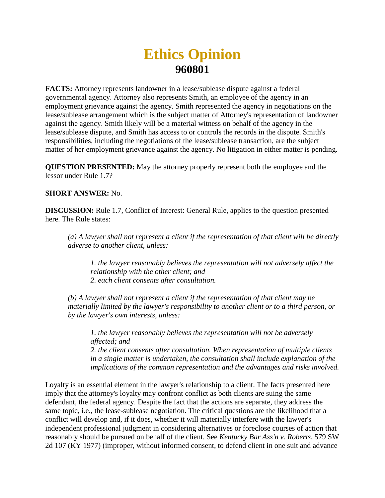## **Ethics Opinion 960801**

**FACTS:** Attorney represents landowner in a lease/sublease dispute against a federal governmental agency. Attorney also represents Smith, an employee of the agency in an employment grievance against the agency. Smith represented the agency in negotiations on the lease/sublease arrangement which is the subject matter of Attorney's representation of landowner against the agency. Smith likely will be a material witness on behalf of the agency in the lease/sublease dispute, and Smith has access to or controls the records in the dispute. Smith's responsibilities, including the negotiations of the lease/sublease transaction, are the subject matter of her employment grievance against the agency. No litigation in either matter is pending.

**QUESTION PRESENTED:** May the attorney properly represent both the employee and the lessor under Rule 1.7?

## **SHORT ANSWER:** No.

**DISCUSSION:** Rule 1.7, Conflict of Interest: General Rule, applies to the question presented here. The Rule states:

*(a) A lawyer shall not represent a client if the representation of that client will be directly adverse to another client, unless:* 

*1. the lawyer reasonably believes the representation will not adversely affect the relationship with the other client; and 2. each client consents after consultation.*

*(b) A lawyer shall not represent a client if the representation of that client may be materially limited by the lawyer's responsibility to another client or to a third person, or by the lawyer's own interests, unless:* 

*1. the lawyer reasonably believes the representation will not be adversely affected; and 2. the client consents after consultation. When representation of multiple clients in a single matter is undertaken, the consultation shall include explanation of the implications of the common representation and the advantages and risks involved.*

Loyalty is an essential element in the lawyer's relationship to a client. The facts presented here imply that the attorney's loyalty may confront conflict as both clients are suing the same defendant, the federal agency. Despite the fact that the actions are separate, they address the same topic, i.e., the lease-sublease negotiation. The critical questions are the likelihood that a conflict will develop and, if it does, whether it will materially interfere with the lawyer's independent professional judgment in considering alternatives or foreclose courses of action that reasonably should be pursued on behalf of the client. See *Kentucky Bar Ass'n v. Roberts*, 579 SW 2d 107 (KY 1977) (improper, without informed consent, to defend client in one suit and advance